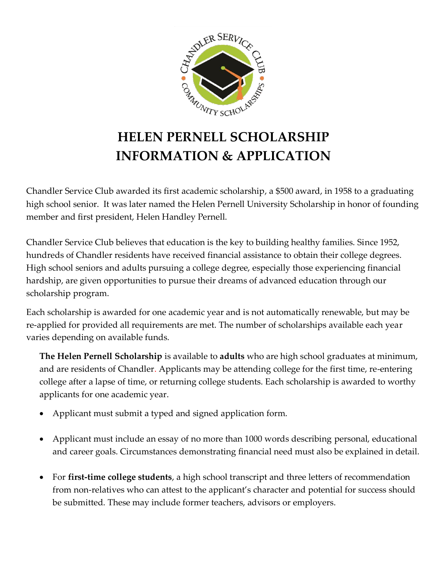

# **HELEN PERNELL SCHOLARSHIP INFORMATION & APPLICATION**

Chandler Service Club awarded its first academic scholarship, a \$500 award, in 1958 to a graduating high school senior. It was later named the Helen Pernell University Scholarship in honor of founding member and first president, Helen Handley Pernell.

Chandler Service Club believes that education is the key to building healthy families. Since 1952, hundreds of Chandler residents have received financial assistance to obtain their college degrees. High school seniors and adults pursuing a college degree, especially those experiencing financial hardship, are given opportunities to pursue their dreams of advanced education through our scholarship program.

Each scholarship is awarded for one academic year and is not automatically renewable, but may be re-applied for provided all requirements are met. The number of scholarships available each year varies depending on available funds.

**The Helen Pernell Scholarship** is available to **adults** who are high school graduates at minimum, and are residents of Chandler. Applicants may be attending college for the first time, re-entering college after a lapse of time, or returning college students. Each scholarship is awarded to worthy applicants for one academic year.

- Applicant must submit a typed and signed application form.
- Applicant must include an essay of no more than 1000 words describing personal, educational and career goals. Circumstances demonstrating financial need must also be explained in detail.
- For **first-time college students**, a high school transcript and three letters of recommendation from non-relatives who can attest to the applicant's character and potential for success should be submitted. These may include former teachers, advisors or employers.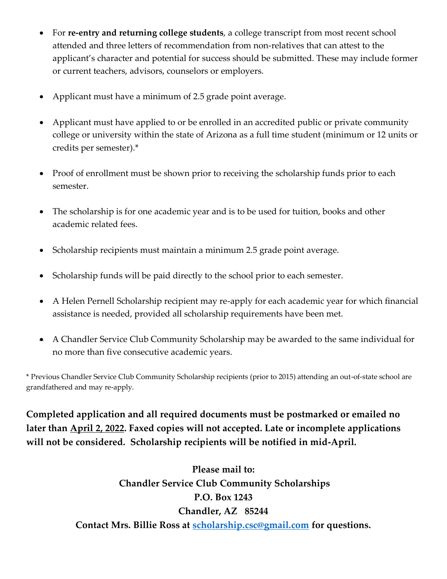- For **re-entry and returning college students**, a college transcript from most recent school attended and three letters of recommendation from non-relatives that can attest to the applicant's character and potential for success should be submitted. These may include former or current teachers, advisors, counselors or employers.
- Applicant must have a minimum of 2.5 grade point average.
- Applicant must have applied to or be enrolled in an accredited public or private community college or university within the state of Arizona as a full time student (minimum or 12 units or credits per semester).\*
- Proof of enrollment must be shown prior to receiving the scholarship funds prior to each semester.
- The scholarship is for one academic year and is to be used for tuition, books and other academic related fees.
- Scholarship recipients must maintain a minimum 2.5 grade point average.
- Scholarship funds will be paid directly to the school prior to each semester.
- A Helen Pernell Scholarship recipient may re-apply for each academic year for which financial assistance is needed, provided all scholarship requirements have been met.
- A Chandler Service Club Community Scholarship may be awarded to the same individual for no more than five consecutive academic years.

\* Previous Chandler Service Club Community Scholarship recipients (prior to 2015) attending an out-of-state school are grandfathered and may re-apply.

**Completed application and all required documents must be postmarked or emailed no later than April 2, 2022. Faxed copies will not accepted. Late or incomplete applications will not be considered. Scholarship recipients will be notified in mid-April.**

> **Please mail to: Chandler Service Club Community Scholarships P.O. Box 1243 Chandler, AZ 85244 Contact Mrs. Billie Ross at [scholarship.csc@gmail.com](mailto:scholarship.csc@gmail.com) for questions.**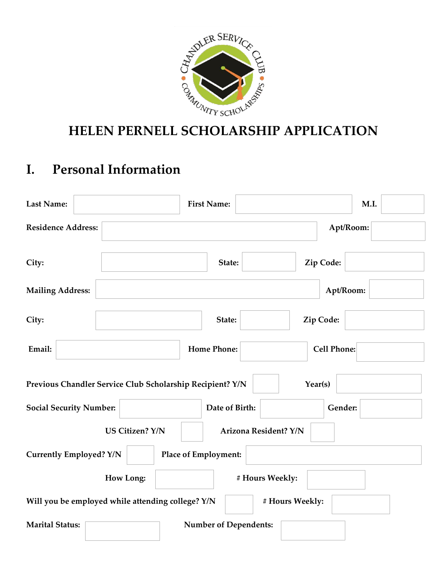

## **I. Personal Information**

| <b>Last Name:</b>                                         |                        |                      | <b>First Name:</b>           |                       |                    | M.I. |
|-----------------------------------------------------------|------------------------|----------------------|------------------------------|-----------------------|--------------------|------|
| <b>Residence Address:</b>                                 |                        |                      |                              |                       | Apt/Room:          |      |
| City:                                                     |                        |                      | State:                       |                       | Zip Code:          |      |
| <b>Mailing Address:</b>                                   |                        |                      |                              |                       | Apt/Room:          |      |
| City:                                                     |                        |                      | State:                       |                       | Zip Code:          |      |
| Email:                                                    |                        |                      | <b>Home Phone:</b>           |                       | <b>Cell Phone:</b> |      |
| Previous Chandler Service Club Scholarship Recipient? Y/N |                        |                      |                              |                       | Year(s)            |      |
| <b>Social Security Number:</b>                            |                        |                      | Date of Birth:               |                       | Gender:            |      |
|                                                           | <b>US Citizen? Y/N</b> |                      |                              | Arizona Resident? Y/N |                    |      |
| <b>Currently Employed? Y/N</b>                            |                        | Place of Employment: |                              |                       |                    |      |
|                                                           | <b>How Long:</b>       |                      |                              | # Hours Weekly:       |                    |      |
| Will you be employed while attending college? Y/N         |                        |                      |                              | # Hours Weekly:       |                    |      |
| <b>Marital Status:</b>                                    |                        |                      | <b>Number of Dependents:</b> |                       |                    |      |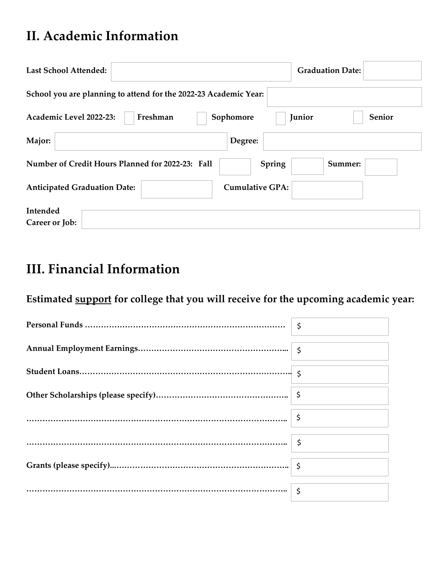## **II. Academic Information**

| <b>Last School Attended:</b>                                      | <b>Graduation Date:</b> |
|-------------------------------------------------------------------|-------------------------|
| School you are planning to attend for the 2022-23 Academic Year:  |                         |
| Academic Level 2022-23:<br>Freshman<br>Sophomore                  | Senior<br>Junior        |
| Major:<br>Degree:                                                 |                         |
| Number of Credit Hours Planned for 2022-23: Fall<br><b>Spring</b> | Summer:                 |
| <b>Cumulative GPA:</b><br><b>Anticipated Graduation Date:</b>     |                         |
| Intended<br>Career or Job:                                        |                         |

## **III. Financial Information**

### **Estimated support for college that you will receive for the upcoming academic year:**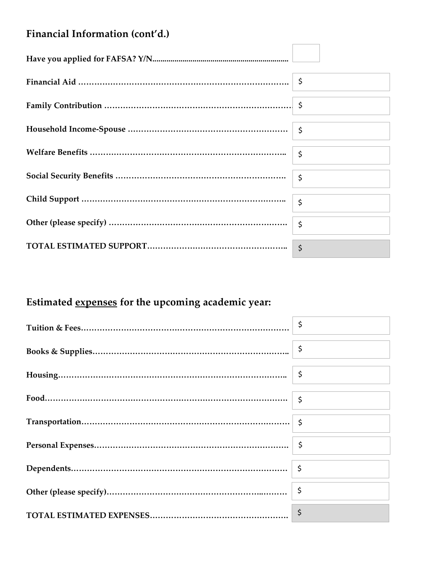### **Financial Information (cont'd.)**

## **Estimated expenses for the upcoming academic year:**

| $\ddot{\varsigma}$ |
|--------------------|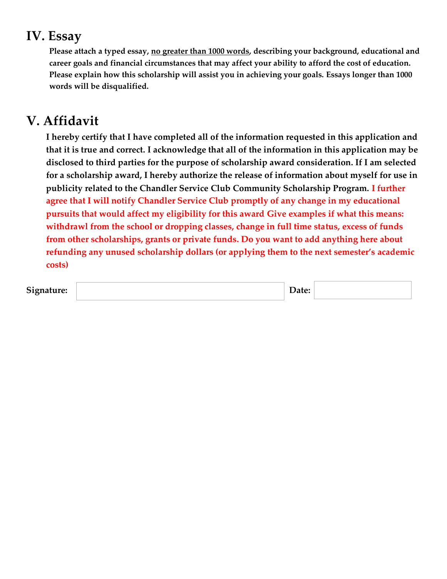## **IV. Essay**

**Please attach a typed essay, no greater than 1000 words, describing your background, educational and career goals and financial circumstances that may affect your ability to afford the cost of education. Please explain how this scholarship will assist you in achieving your goals. Essays longer than 1000 words will be disqualified.**

## **V. Affidavit**

 **I hereby certify that I have completed all of the information requested in this application and that it is true and correct. I acknowledge that all of the information in this application may be disclosed to third parties for the purpose of scholarship award consideration. If I am selected for a scholarship award, I hereby authorize the release of information about myself for use in publicity related to the Chandler Service Club Community Scholarship Program. I further agree that I will notify Chandler Service Club promptly of any change in my educational pursuits that would affect my eligibility for this award Give examples if what this means: withdrawl from the school or dropping classes, change in full time status, excess of funds from other scholarships, grants or private funds. Do you want to add anything here about refunding any unused scholarship dollars (or applying them to the next semester's academic costs)** 

| $\sim$<br>ı <b>ture:</b><br>$Sign^-$<br>ີ |  | $\mathbf{a}$ |  |
|-------------------------------------------|--|--------------|--|
|-------------------------------------------|--|--------------|--|